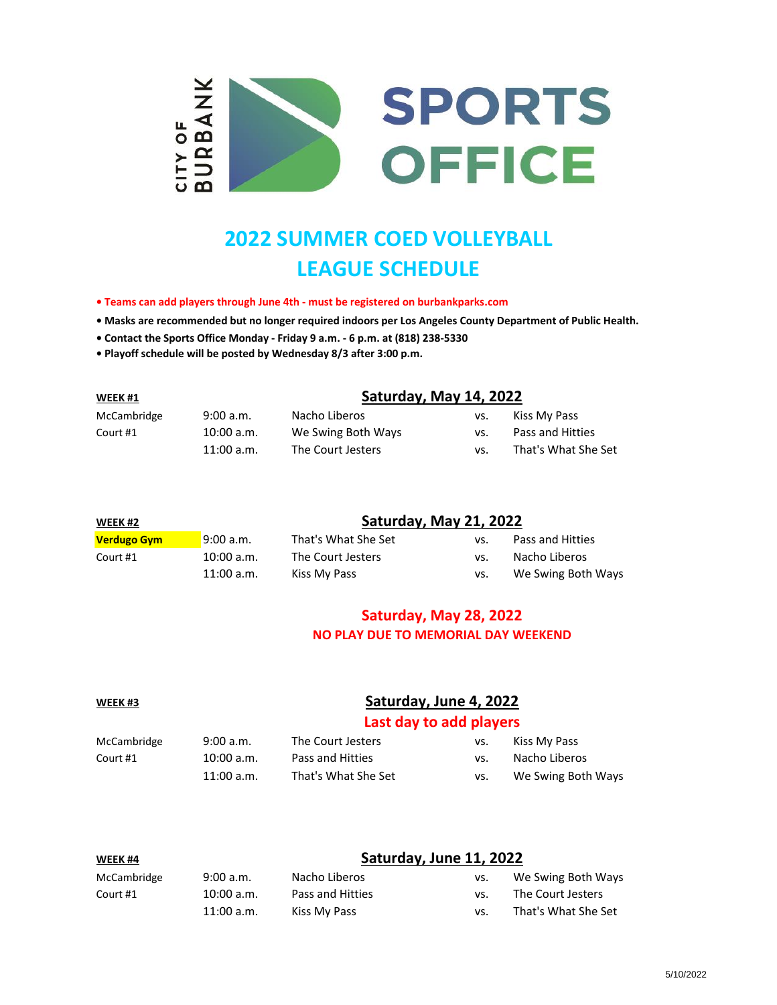

# **2022 SUMMER COED VOLLEYBALL LEAGUE SCHEDULE**

**• Teams can add players through June 4th - must be registered on burbankparks.com**

**• Masks are recommended but no longer required indoors per Los Angeles County Department of Public Health.**

- **Contact the Sports Office Monday Friday 9 a.m. 6 p.m. at (818) 238-5330**
- **Playoff schedule will be posted by Wednesday 8/3 after 3:00 p.m.**

| WEEK#1      |              | Saturday, May 14, 2022 |     |                     |  |
|-------------|--------------|------------------------|-----|---------------------|--|
| McCambridge | 9:00 a.m.    | Nacho Liberos          | vs. | Kiss My Pass        |  |
| Court #1    | 10:00 a.m.   | We Swing Both Ways     | VS. | Pass and Hitties    |  |
|             | $11:00$ a.m. | The Court Jesters      | VS. | That's What She Set |  |

| WEEK#2             |              | Saturday, May 21, 2022 |     |                    |  |
|--------------------|--------------|------------------------|-----|--------------------|--|
| <b>Verdugo Gym</b> | 9:00 a.m.    | That's What She Set    | VS. | Pass and Hitties   |  |
| Court #1           | 10:00 a.m.   | The Court Jesters      | VS. | Nacho Liberos      |  |
|                    | $11:00$ a.m. | Kiss My Pass           | VS. | We Swing Both Ways |  |

### **Saturday, May 28, 2022 NO PLAY DUE TO MEMORIAL DAY WEEKEND**

### **WEEK #3 Saturday, June 4, 2022**

#### **Last day to add players**

| McCambridge | 9:00 a.m.    | The Court Jesters   | VS. | Kiss My Pass       |
|-------------|--------------|---------------------|-----|--------------------|
| Court #1    | 10:00 a.m.   | Pass and Hitties    | VS. | Nacho Liberos      |
|             | $11:00$ a.m. | That's What She Set | VS. | We Swing Both Ways |

| WEEK #4     |              | Saturday, June 11, 2022 |     |                     |
|-------------|--------------|-------------------------|-----|---------------------|
| McCambridge | 9:00 a.m.    | Nacho Liberos           | VS. | We Swing Both Ways  |
| Court #1    | 10:00 a.m.   | Pass and Hitties        | VS. | The Court Jesters   |
|             | $11:00$ a.m. | Kiss My Pass            | VS. | That's What She Set |